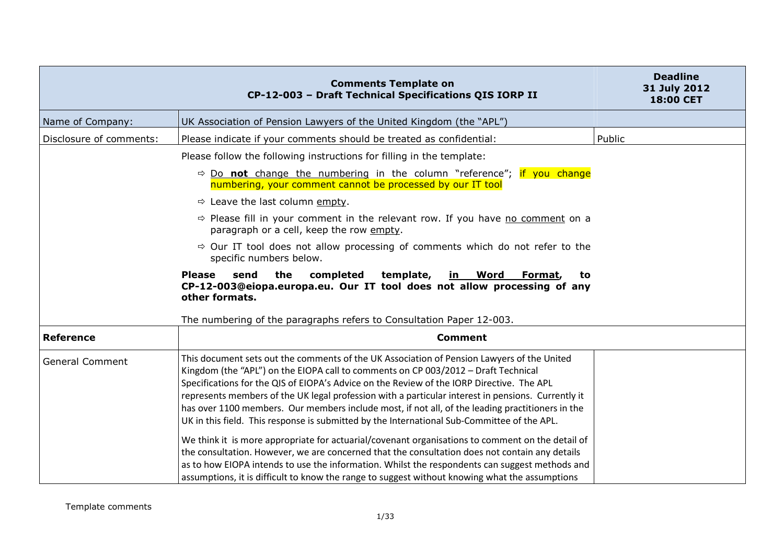|                         | <b>Comments Template on</b><br>CP-12-003 - Draft Technical Specifications QIS IORP II                                                                                                                                                                                                                                                                                                                                                                                                                                                                                                  | <b>Deadline</b><br>31 July 2012<br>18:00 CET |
|-------------------------|----------------------------------------------------------------------------------------------------------------------------------------------------------------------------------------------------------------------------------------------------------------------------------------------------------------------------------------------------------------------------------------------------------------------------------------------------------------------------------------------------------------------------------------------------------------------------------------|----------------------------------------------|
| Name of Company:        | UK Association of Pension Lawyers of the United Kingdom (the "APL")                                                                                                                                                                                                                                                                                                                                                                                                                                                                                                                    |                                              |
| Disclosure of comments: | Please indicate if your comments should be treated as confidential:                                                                                                                                                                                                                                                                                                                                                                                                                                                                                                                    | Public                                       |
|                         | Please follow the following instructions for filling in the template:                                                                                                                                                                                                                                                                                                                                                                                                                                                                                                                  |                                              |
|                         | $\Rightarrow$ Do not change the numbering in the column "reference"; if you change<br>numbering, your comment cannot be processed by our IT tool                                                                                                                                                                                                                                                                                                                                                                                                                                       |                                              |
|                         | $\Rightarrow$ Leave the last column empty.                                                                                                                                                                                                                                                                                                                                                                                                                                                                                                                                             |                                              |
|                         | $\Rightarrow$ Please fill in your comment in the relevant row. If you have no comment on a<br>paragraph or a cell, keep the row empty.                                                                                                                                                                                                                                                                                                                                                                                                                                                 |                                              |
|                         | $\Rightarrow$ Our IT tool does not allow processing of comments which do not refer to the<br>specific numbers below.                                                                                                                                                                                                                                                                                                                                                                                                                                                                   |                                              |
|                         | the<br>completed<br>template,<br><b>Please</b><br>send<br><u>in Word</u><br>Format,<br>to<br>CP-12-003@eiopa.europa.eu. Our IT tool does not allow processing of any<br>other formats.<br>The numbering of the paragraphs refers to Consultation Paper 12-003.                                                                                                                                                                                                                                                                                                                         |                                              |
| <b>Reference</b>        | <b>Comment</b>                                                                                                                                                                                                                                                                                                                                                                                                                                                                                                                                                                         |                                              |
| <b>General Comment</b>  | This document sets out the comments of the UK Association of Pension Lawyers of the United<br>Kingdom (the "APL") on the EIOPA call to comments on CP 003/2012 - Draft Technical<br>Specifications for the QIS of EIOPA's Advice on the Review of the IORP Directive. The APL<br>represents members of the UK legal profession with a particular interest in pensions. Currently it<br>has over 1100 members. Our members include most, if not all, of the leading practitioners in the<br>UK in this field. This response is submitted by the International Sub-Committee of the APL. |                                              |
|                         | We think it is more appropriate for actuarial/covenant organisations to comment on the detail of<br>the consultation. However, we are concerned that the consultation does not contain any details<br>as to how EIOPA intends to use the information. Whilst the respondents can suggest methods and<br>assumptions, it is difficult to know the range to suggest without knowing what the assumptions                                                                                                                                                                                 |                                              |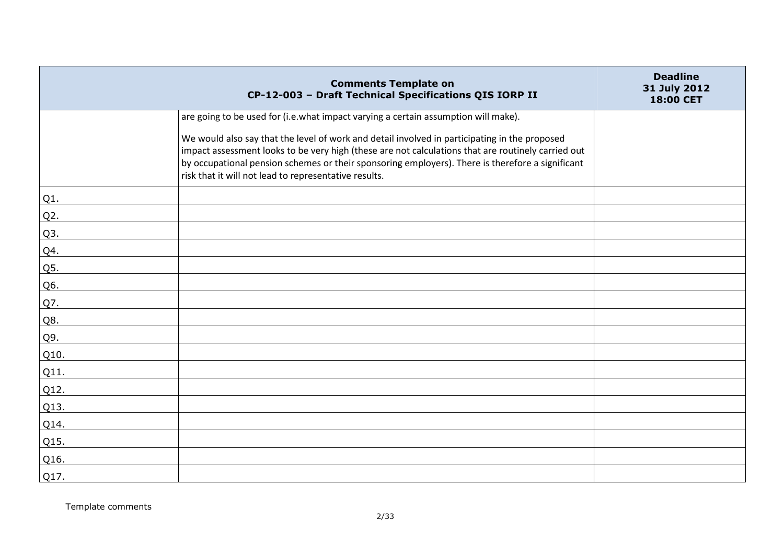|         | <b>Comments Template on</b><br>CP-12-003 - Draft Technical Specifications QIS IORP II                                                                                                                                                                                                                                                                            | <b>Deadline</b><br>31 July 2012<br>18:00 CET |
|---------|------------------------------------------------------------------------------------------------------------------------------------------------------------------------------------------------------------------------------------------------------------------------------------------------------------------------------------------------------------------|----------------------------------------------|
|         | are going to be used for (i.e.what impact varying a certain assumption will make).                                                                                                                                                                                                                                                                               |                                              |
|         | We would also say that the level of work and detail involved in participating in the proposed<br>impact assessment looks to be very high (these are not calculations that are routinely carried out<br>by occupational pension schemes or their sponsoring employers). There is therefore a significant<br>risk that it will not lead to representative results. |                                              |
| Q1.     |                                                                                                                                                                                                                                                                                                                                                                  |                                              |
| $Q2$ .  |                                                                                                                                                                                                                                                                                                                                                                  |                                              |
| Q3.     |                                                                                                                                                                                                                                                                                                                                                                  |                                              |
| Q4.     |                                                                                                                                                                                                                                                                                                                                                                  |                                              |
| Q5.     |                                                                                                                                                                                                                                                                                                                                                                  |                                              |
| Q6.     |                                                                                                                                                                                                                                                                                                                                                                  |                                              |
| Q7.     |                                                                                                                                                                                                                                                                                                                                                                  |                                              |
| Q8.     |                                                                                                                                                                                                                                                                                                                                                                  |                                              |
| Q9.     |                                                                                                                                                                                                                                                                                                                                                                  |                                              |
| Q10.    |                                                                                                                                                                                                                                                                                                                                                                  |                                              |
| $Q11$ . |                                                                                                                                                                                                                                                                                                                                                                  |                                              |
| Q12.    |                                                                                                                                                                                                                                                                                                                                                                  |                                              |
| Q13.    |                                                                                                                                                                                                                                                                                                                                                                  |                                              |
| Q14.    |                                                                                                                                                                                                                                                                                                                                                                  |                                              |
| Q15.    |                                                                                                                                                                                                                                                                                                                                                                  |                                              |
| Q16.    |                                                                                                                                                                                                                                                                                                                                                                  |                                              |
| Q17.    |                                                                                                                                                                                                                                                                                                                                                                  |                                              |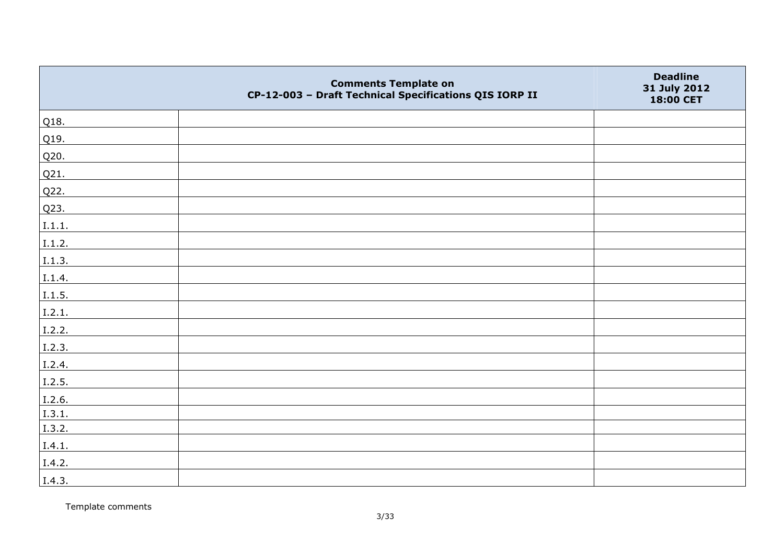|        | <b>Comments Template on</b><br>CP-12-003 - Draft Technical Specifications QIS IORP II | <b>Deadline</b><br>31 July 2012<br>18:00 CET |
|--------|---------------------------------------------------------------------------------------|----------------------------------------------|
| Q18.   |                                                                                       |                                              |
| Q19.   |                                                                                       |                                              |
| Q20.   |                                                                                       |                                              |
| Q21.   |                                                                                       |                                              |
| Q22.   |                                                                                       |                                              |
| Q23.   |                                                                                       |                                              |
| I.1.1. |                                                                                       |                                              |
| I.1.2. |                                                                                       |                                              |
| I.1.3. |                                                                                       |                                              |
| I.1.4. |                                                                                       |                                              |
| I.1.5. |                                                                                       |                                              |
| I.2.1. |                                                                                       |                                              |
| I.2.2. |                                                                                       |                                              |
| I.2.3. |                                                                                       |                                              |
| I.2.4. |                                                                                       |                                              |
| I.2.5. |                                                                                       |                                              |
| I.2.6. |                                                                                       |                                              |
| I.3.1. |                                                                                       |                                              |
| I.3.2. |                                                                                       |                                              |
| I.4.1. |                                                                                       |                                              |
| I.4.2. |                                                                                       |                                              |
| I.4.3. |                                                                                       |                                              |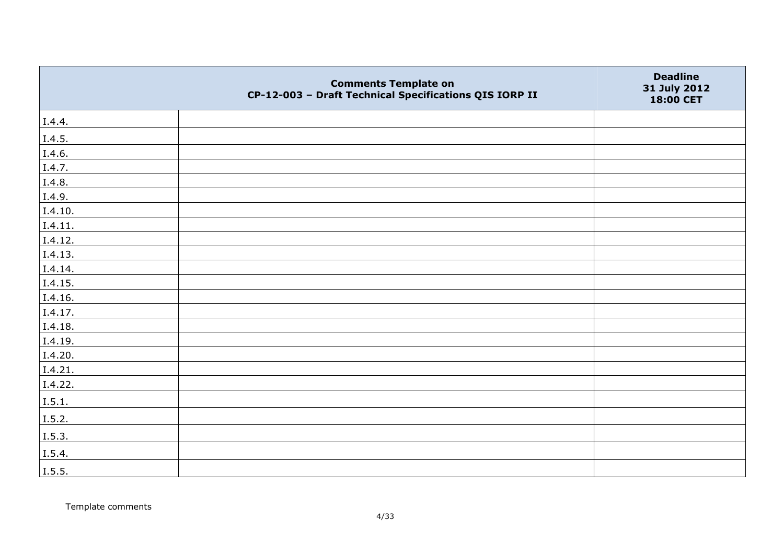|                | <b>Comments Template on</b><br>CP-12-003 - Draft Technical Specifications QIS IORP II | <b>Deadline</b><br>31 July 2012<br>18:00 CET |
|----------------|---------------------------------------------------------------------------------------|----------------------------------------------|
| I.4.4.         |                                                                                       |                                              |
| I.4.5.         |                                                                                       |                                              |
| I.4.6.         |                                                                                       |                                              |
| I.4.7.         |                                                                                       |                                              |
| I.4.8.         |                                                                                       |                                              |
| I.4.9.         |                                                                                       |                                              |
| I.4.10.        |                                                                                       |                                              |
| I.4.11.        |                                                                                       |                                              |
| I.4.12.        |                                                                                       |                                              |
| I.4.13.        |                                                                                       |                                              |
| I.4.14.        |                                                                                       |                                              |
| I.4.15.        |                                                                                       |                                              |
| I.4.16.        |                                                                                       |                                              |
| I.4.17.        |                                                                                       |                                              |
| I.4.18.        |                                                                                       |                                              |
| I.4.19.        |                                                                                       |                                              |
| I.4.20.        |                                                                                       |                                              |
| I.4.21.        |                                                                                       |                                              |
| I.4.22.        |                                                                                       |                                              |
| I.5.1.         |                                                                                       |                                              |
| I.5.2.         |                                                                                       |                                              |
| $\vert$ I.5.3. |                                                                                       |                                              |
| I.5.4.         |                                                                                       |                                              |
| I.5.5.         |                                                                                       |                                              |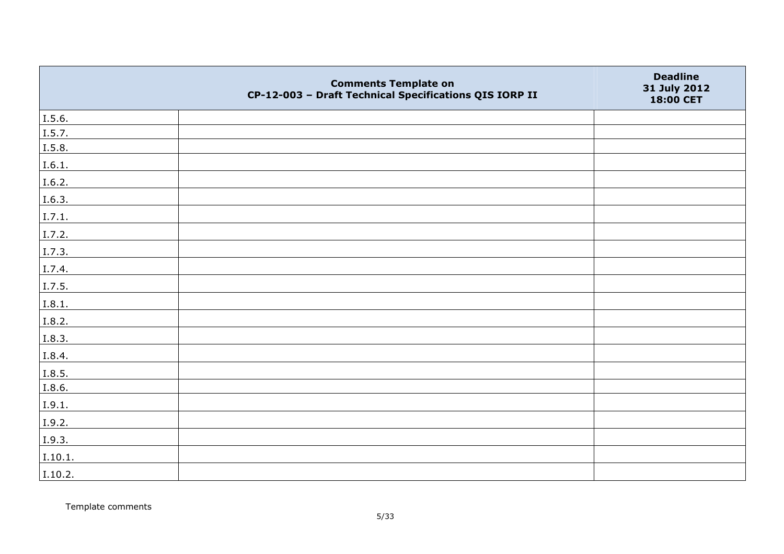|         | <b>Comments Template on</b><br>CP-12-003 - Draft Technical Specifications QIS IORP II | <b>Deadline</b><br>31 July 2012<br>18:00 CET |
|---------|---------------------------------------------------------------------------------------|----------------------------------------------|
| I.5.6.  |                                                                                       |                                              |
| I.5.7.  |                                                                                       |                                              |
| I.5.8.  |                                                                                       |                                              |
| I.6.1.  |                                                                                       |                                              |
| I.6.2.  |                                                                                       |                                              |
| I.6.3.  |                                                                                       |                                              |
| I.7.1.  |                                                                                       |                                              |
| I.7.2.  |                                                                                       |                                              |
| I.7.3.  |                                                                                       |                                              |
| I.7.4.  |                                                                                       |                                              |
| I.7.5.  |                                                                                       |                                              |
| I.8.1.  |                                                                                       |                                              |
| I.8.2.  |                                                                                       |                                              |
| I.8.3.  |                                                                                       |                                              |
| I.8.4.  |                                                                                       |                                              |
| I.8.5.  |                                                                                       |                                              |
| I.8.6.  |                                                                                       |                                              |
| I.9.1.  |                                                                                       |                                              |
| I.9.2.  |                                                                                       |                                              |
| I.9.3.  |                                                                                       |                                              |
| I.10.1. |                                                                                       |                                              |
| I.10.2. |                                                                                       |                                              |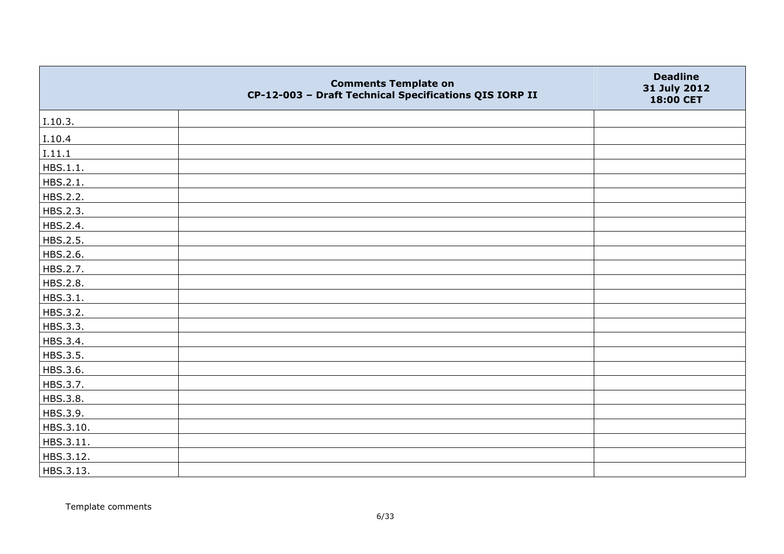|           | <b>Comments Template on</b><br>CP-12-003 - Draft Technical Specifications QIS IORP II | <b>Deadline</b><br>31 July 2012<br>18:00 CET |
|-----------|---------------------------------------------------------------------------------------|----------------------------------------------|
| I.10.3.   |                                                                                       |                                              |
| I.10.4    |                                                                                       |                                              |
| I.11.1    |                                                                                       |                                              |
| HBS.1.1.  |                                                                                       |                                              |
| HBS.2.1.  |                                                                                       |                                              |
| HBS.2.2.  |                                                                                       |                                              |
| HBS.2.3.  |                                                                                       |                                              |
| HBS.2.4.  |                                                                                       |                                              |
| HBS.2.5.  |                                                                                       |                                              |
| HBS.2.6.  |                                                                                       |                                              |
| HBS.2.7.  |                                                                                       |                                              |
| HBS.2.8.  |                                                                                       |                                              |
| HBS.3.1.  |                                                                                       |                                              |
| HBS.3.2.  |                                                                                       |                                              |
| HBS.3.3.  |                                                                                       |                                              |
| HBS.3.4.  |                                                                                       |                                              |
| HBS.3.5.  |                                                                                       |                                              |
| HBS.3.6.  |                                                                                       |                                              |
| HBS.3.7.  |                                                                                       |                                              |
| HBS.3.8.  |                                                                                       |                                              |
| HBS.3.9.  |                                                                                       |                                              |
| HBS.3.10. |                                                                                       |                                              |
| HBS.3.11. |                                                                                       |                                              |
| HBS.3.12. |                                                                                       |                                              |
| HBS.3.13. |                                                                                       |                                              |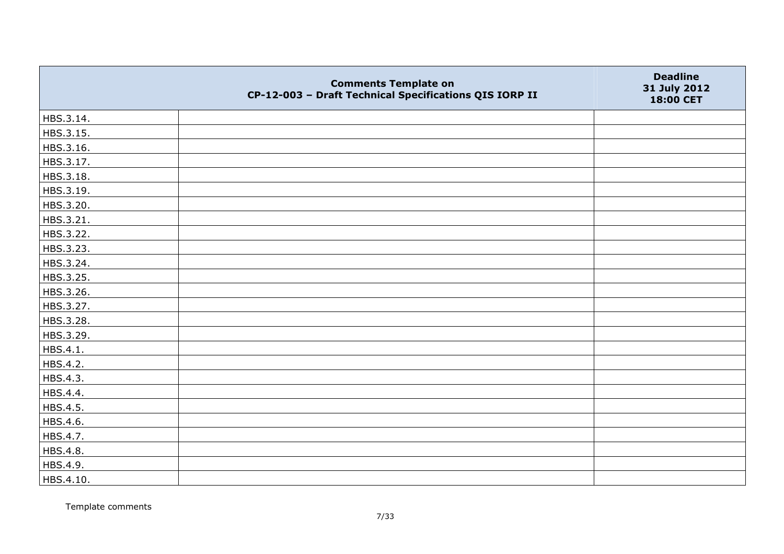|           | <b>Comments Template on</b><br>CP-12-003 - Draft Technical Specifications QIS IORP II | <b>Deadline</b><br>31 July 2012<br>18:00 CET |
|-----------|---------------------------------------------------------------------------------------|----------------------------------------------|
| HBS.3.14. |                                                                                       |                                              |
| HBS.3.15. |                                                                                       |                                              |
| HBS.3.16. |                                                                                       |                                              |
| HBS.3.17. |                                                                                       |                                              |
| HBS.3.18. |                                                                                       |                                              |
| HBS.3.19. |                                                                                       |                                              |
| HBS.3.20. |                                                                                       |                                              |
| HBS.3.21. |                                                                                       |                                              |
| HBS.3.22. |                                                                                       |                                              |
| HBS.3.23. |                                                                                       |                                              |
| HBS.3.24. |                                                                                       |                                              |
| HBS.3.25. |                                                                                       |                                              |
| HBS.3.26. |                                                                                       |                                              |
| HBS.3.27. |                                                                                       |                                              |
| HBS.3.28. |                                                                                       |                                              |
| HBS.3.29. |                                                                                       |                                              |
| HBS.4.1.  |                                                                                       |                                              |
| HBS.4.2.  |                                                                                       |                                              |
| HBS.4.3.  |                                                                                       |                                              |
| HBS.4.4.  |                                                                                       |                                              |
| HBS.4.5.  |                                                                                       |                                              |
| HBS.4.6.  |                                                                                       |                                              |
| HBS.4.7.  |                                                                                       |                                              |
| HBS.4.8.  |                                                                                       |                                              |
| HBS.4.9.  |                                                                                       |                                              |
| HBS.4.10. |                                                                                       |                                              |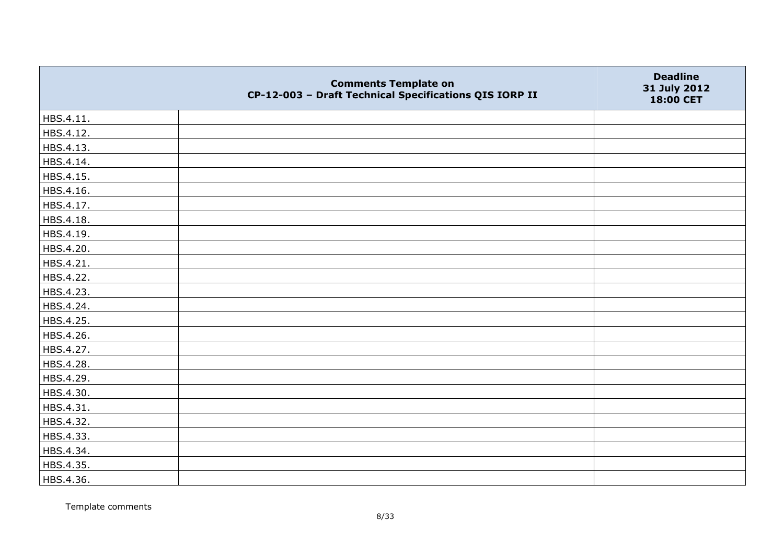|           | <b>Comments Template on</b><br>CP-12-003 - Draft Technical Specifications QIS IORP II | <b>Deadline</b><br>31 July 2012<br>18:00 CET |
|-----------|---------------------------------------------------------------------------------------|----------------------------------------------|
| HBS.4.11. |                                                                                       |                                              |
| HBS.4.12. |                                                                                       |                                              |
| HBS.4.13. |                                                                                       |                                              |
| HBS.4.14. |                                                                                       |                                              |
| HBS.4.15. |                                                                                       |                                              |
| HBS.4.16. |                                                                                       |                                              |
| HBS.4.17. |                                                                                       |                                              |
| HBS.4.18. |                                                                                       |                                              |
| HBS.4.19. |                                                                                       |                                              |
| HBS.4.20. |                                                                                       |                                              |
| HBS.4.21. |                                                                                       |                                              |
| HBS.4.22. |                                                                                       |                                              |
| HBS.4.23. |                                                                                       |                                              |
| HBS.4.24. |                                                                                       |                                              |
| HBS.4.25. |                                                                                       |                                              |
| HBS.4.26. |                                                                                       |                                              |
| HBS.4.27. |                                                                                       |                                              |
| HBS.4.28. |                                                                                       |                                              |
| HBS.4.29. |                                                                                       |                                              |
| HBS.4.30. |                                                                                       |                                              |
| HBS.4.31. |                                                                                       |                                              |
| HBS.4.32. |                                                                                       |                                              |
| HBS.4.33. |                                                                                       |                                              |
| HBS.4.34. |                                                                                       |                                              |
| HBS.4.35. |                                                                                       |                                              |
| HBS.4.36. |                                                                                       |                                              |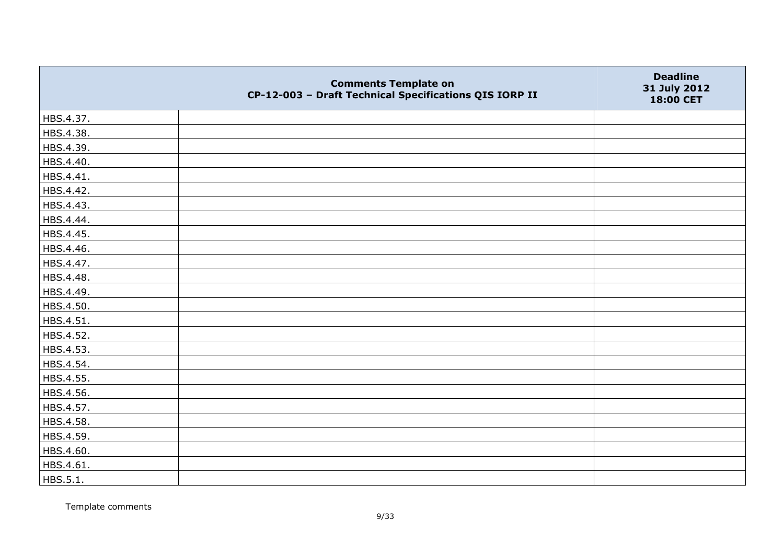|           | <b>Comments Template on</b><br>CP-12-003 - Draft Technical Specifications QIS IORP II | <b>Deadline</b><br>31 July 2012<br>18:00 CET |
|-----------|---------------------------------------------------------------------------------------|----------------------------------------------|
| HBS.4.37. |                                                                                       |                                              |
| HBS.4.38. |                                                                                       |                                              |
| HBS.4.39. |                                                                                       |                                              |
| HBS.4.40. |                                                                                       |                                              |
| HBS.4.41. |                                                                                       |                                              |
| HBS.4.42. |                                                                                       |                                              |
| HBS.4.43. |                                                                                       |                                              |
| HBS.4.44. |                                                                                       |                                              |
| HBS.4.45. |                                                                                       |                                              |
| HBS.4.46. |                                                                                       |                                              |
| HBS.4.47. |                                                                                       |                                              |
| HBS.4.48. |                                                                                       |                                              |
| HBS.4.49. |                                                                                       |                                              |
| HBS.4.50. |                                                                                       |                                              |
| HBS.4.51. |                                                                                       |                                              |
| HBS.4.52. |                                                                                       |                                              |
| HBS.4.53. |                                                                                       |                                              |
| HBS.4.54. |                                                                                       |                                              |
| HBS.4.55. |                                                                                       |                                              |
| HBS.4.56. |                                                                                       |                                              |
| HBS.4.57. |                                                                                       |                                              |
| HBS.4.58. |                                                                                       |                                              |
| HBS.4.59. |                                                                                       |                                              |
| HBS.4.60. |                                                                                       |                                              |
| HBS.4.61. |                                                                                       |                                              |
| HBS.5.1.  |                                                                                       |                                              |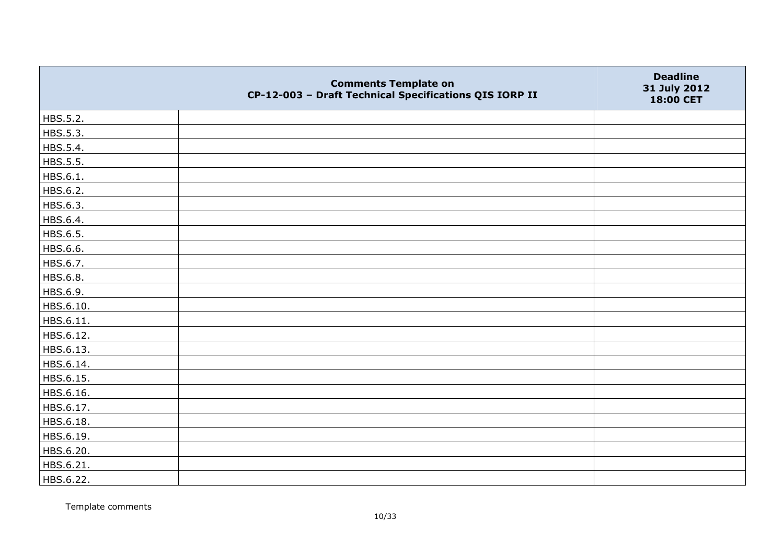|           | <b>Comments Template on</b><br>CP-12-003 - Draft Technical Specifications QIS IORP II | <b>Deadline</b><br>31 July 2012<br>18:00 CET |
|-----------|---------------------------------------------------------------------------------------|----------------------------------------------|
| HBS.5.2.  |                                                                                       |                                              |
| HBS.5.3.  |                                                                                       |                                              |
| HBS.5.4.  |                                                                                       |                                              |
| HBS.5.5.  |                                                                                       |                                              |
| HBS.6.1.  |                                                                                       |                                              |
| HBS.6.2.  |                                                                                       |                                              |
| HBS.6.3.  |                                                                                       |                                              |
| HBS.6.4.  |                                                                                       |                                              |
| HBS.6.5.  |                                                                                       |                                              |
| HBS.6.6.  |                                                                                       |                                              |
| HBS.6.7.  |                                                                                       |                                              |
| HBS.6.8.  |                                                                                       |                                              |
| HBS.6.9.  |                                                                                       |                                              |
| HBS.6.10. |                                                                                       |                                              |
| HBS.6.11. |                                                                                       |                                              |
| HBS.6.12. |                                                                                       |                                              |
| HBS.6.13. |                                                                                       |                                              |
| HBS.6.14. |                                                                                       |                                              |
| HBS.6.15. |                                                                                       |                                              |
| HBS.6.16. |                                                                                       |                                              |
| HBS.6.17. |                                                                                       |                                              |
| HBS.6.18. |                                                                                       |                                              |
| HBS.6.19. |                                                                                       |                                              |
| HBS.6.20. |                                                                                       |                                              |
| HBS.6.21. |                                                                                       |                                              |
| HBS.6.22. |                                                                                       |                                              |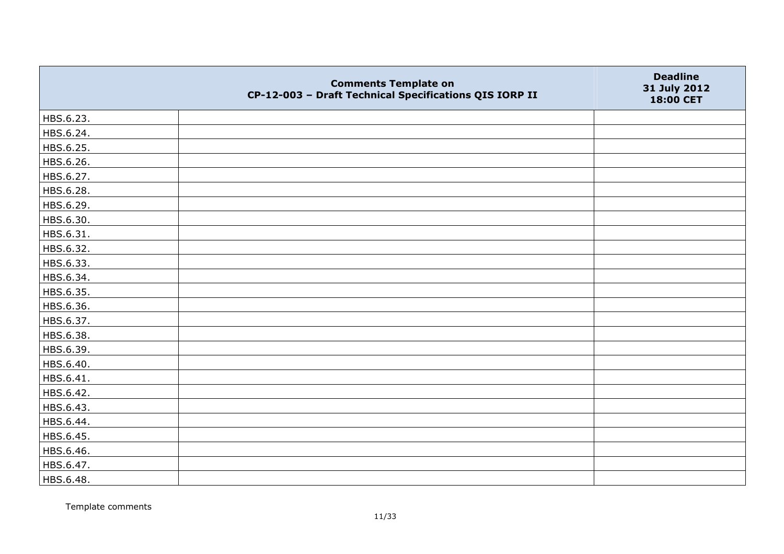|           | <b>Comments Template on</b><br>CP-12-003 - Draft Technical Specifications QIS IORP II | <b>Deadline</b><br>31 July 2012<br>18:00 CET |
|-----------|---------------------------------------------------------------------------------------|----------------------------------------------|
| HBS.6.23. |                                                                                       |                                              |
| HBS.6.24. |                                                                                       |                                              |
| HBS.6.25. |                                                                                       |                                              |
| HBS.6.26. |                                                                                       |                                              |
| HBS.6.27. |                                                                                       |                                              |
| HBS.6.28. |                                                                                       |                                              |
| HBS.6.29. |                                                                                       |                                              |
| HBS.6.30. |                                                                                       |                                              |
| HBS.6.31. |                                                                                       |                                              |
| HBS.6.32. |                                                                                       |                                              |
| HBS.6.33. |                                                                                       |                                              |
| HBS.6.34. |                                                                                       |                                              |
| HBS.6.35. |                                                                                       |                                              |
| HBS.6.36. |                                                                                       |                                              |
| HBS.6.37. |                                                                                       |                                              |
| HBS.6.38. |                                                                                       |                                              |
| HBS.6.39. |                                                                                       |                                              |
| HBS.6.40. |                                                                                       |                                              |
| HBS.6.41. |                                                                                       |                                              |
| HBS.6.42. |                                                                                       |                                              |
| HBS.6.43. |                                                                                       |                                              |
| HBS.6.44. |                                                                                       |                                              |
| HBS.6.45. |                                                                                       |                                              |
| HBS.6.46. |                                                                                       |                                              |
| HBS.6.47. |                                                                                       |                                              |
| HBS.6.48. |                                                                                       |                                              |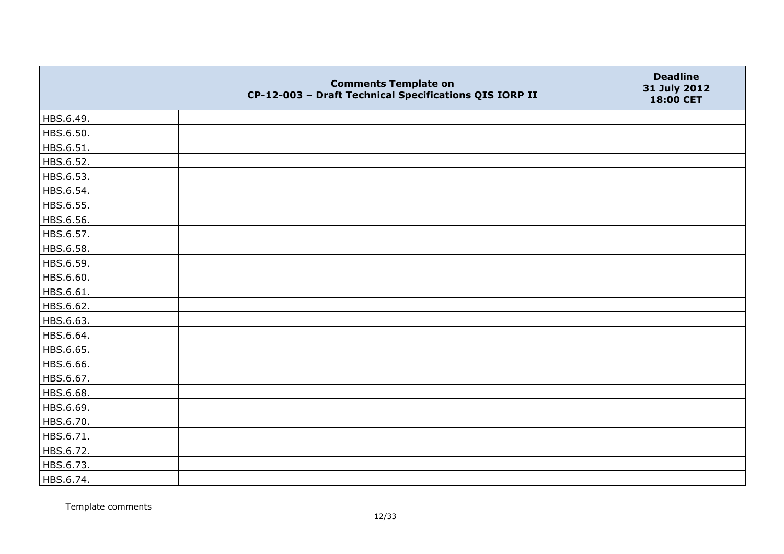|           | <b>Comments Template on</b><br>CP-12-003 - Draft Technical Specifications QIS IORP II | <b>Deadline</b><br>31 July 2012<br>18:00 CET |
|-----------|---------------------------------------------------------------------------------------|----------------------------------------------|
| HBS.6.49. |                                                                                       |                                              |
| HBS.6.50. |                                                                                       |                                              |
| HBS.6.51. |                                                                                       |                                              |
| HBS.6.52. |                                                                                       |                                              |
| HBS.6.53. |                                                                                       |                                              |
| HBS.6.54. |                                                                                       |                                              |
| HBS.6.55. |                                                                                       |                                              |
| HBS.6.56. |                                                                                       |                                              |
| HBS.6.57. |                                                                                       |                                              |
| HBS.6.58. |                                                                                       |                                              |
| HBS.6.59. |                                                                                       |                                              |
| HBS.6.60. |                                                                                       |                                              |
| HBS.6.61. |                                                                                       |                                              |
| HBS.6.62. |                                                                                       |                                              |
| HBS.6.63. |                                                                                       |                                              |
| HBS.6.64. |                                                                                       |                                              |
| HBS.6.65. |                                                                                       |                                              |
| HBS.6.66. |                                                                                       |                                              |
| HBS.6.67. |                                                                                       |                                              |
| HBS.6.68. |                                                                                       |                                              |
| HBS.6.69. |                                                                                       |                                              |
| HBS.6.70. |                                                                                       |                                              |
| HBS.6.71. |                                                                                       |                                              |
| HBS.6.72. |                                                                                       |                                              |
| HBS.6.73. |                                                                                       |                                              |
| HBS.6.74. |                                                                                       |                                              |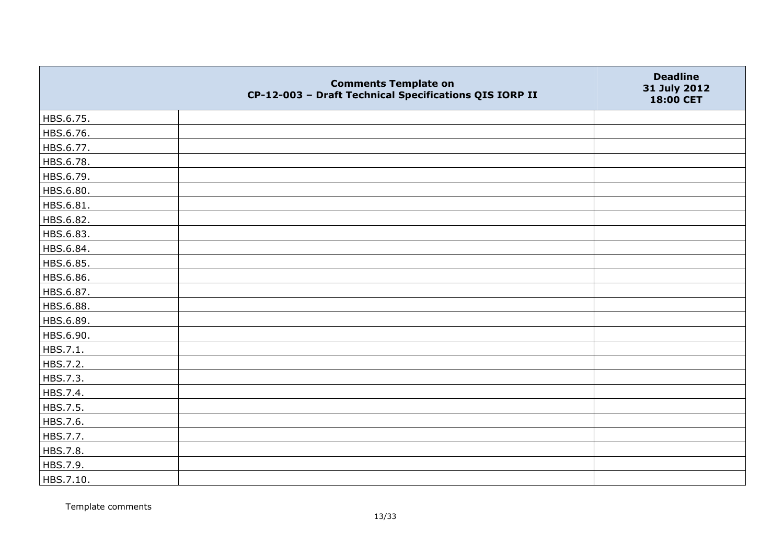|           | <b>Comments Template on</b><br>CP-12-003 - Draft Technical Specifications QIS IORP II | <b>Deadline</b><br>31 July 2012<br>18:00 CET |
|-----------|---------------------------------------------------------------------------------------|----------------------------------------------|
| HBS.6.75. |                                                                                       |                                              |
| HBS.6.76. |                                                                                       |                                              |
| HBS.6.77. |                                                                                       |                                              |
| HBS.6.78. |                                                                                       |                                              |
| HBS.6.79. |                                                                                       |                                              |
| HBS.6.80. |                                                                                       |                                              |
| HBS.6.81. |                                                                                       |                                              |
| HBS.6.82. |                                                                                       |                                              |
| HBS.6.83. |                                                                                       |                                              |
| HBS.6.84. |                                                                                       |                                              |
| HBS.6.85. |                                                                                       |                                              |
| HBS.6.86. |                                                                                       |                                              |
| HBS.6.87. |                                                                                       |                                              |
| HBS.6.88. |                                                                                       |                                              |
| HBS.6.89. |                                                                                       |                                              |
| HBS.6.90. |                                                                                       |                                              |
| HBS.7.1.  |                                                                                       |                                              |
| HBS.7.2.  |                                                                                       |                                              |
| HBS.7.3.  |                                                                                       |                                              |
| HBS.7.4.  |                                                                                       |                                              |
| HBS.7.5.  |                                                                                       |                                              |
| HBS.7.6.  |                                                                                       |                                              |
| HBS.7.7.  |                                                                                       |                                              |
| HBS.7.8.  |                                                                                       |                                              |
| HBS.7.9.  |                                                                                       |                                              |
| HBS.7.10. |                                                                                       |                                              |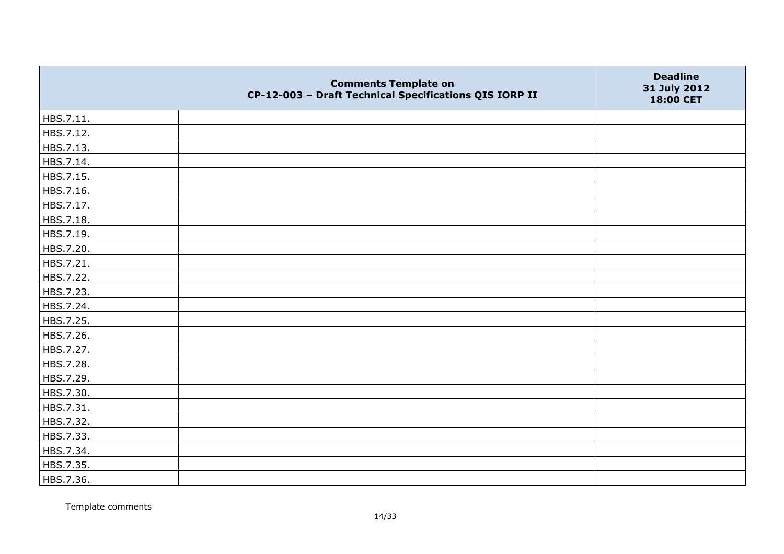|           | <b>Comments Template on</b><br>CP-12-003 - Draft Technical Specifications QIS IORP II | <b>Deadline</b><br>31 July 2012<br>18:00 CET |
|-----------|---------------------------------------------------------------------------------------|----------------------------------------------|
| HBS.7.11. |                                                                                       |                                              |
| HBS.7.12. |                                                                                       |                                              |
| HBS.7.13. |                                                                                       |                                              |
| HBS.7.14. |                                                                                       |                                              |
| HBS.7.15. |                                                                                       |                                              |
| HBS.7.16. |                                                                                       |                                              |
| HBS.7.17. |                                                                                       |                                              |
| HBS.7.18. |                                                                                       |                                              |
| HBS.7.19. |                                                                                       |                                              |
| HBS.7.20. |                                                                                       |                                              |
| HBS.7.21. |                                                                                       |                                              |
| HBS.7.22. |                                                                                       |                                              |
| HBS.7.23. |                                                                                       |                                              |
| HBS.7.24. |                                                                                       |                                              |
| HBS.7.25. |                                                                                       |                                              |
| HBS.7.26. |                                                                                       |                                              |
| HBS.7.27. |                                                                                       |                                              |
| HBS.7.28. |                                                                                       |                                              |
| HBS.7.29. |                                                                                       |                                              |
| HBS.7.30. |                                                                                       |                                              |
| HBS.7.31. |                                                                                       |                                              |
| HBS.7.32. |                                                                                       |                                              |
| HBS.7.33. |                                                                                       |                                              |
| HBS.7.34. |                                                                                       |                                              |
| HBS.7.35. |                                                                                       |                                              |
| HBS.7.36. |                                                                                       |                                              |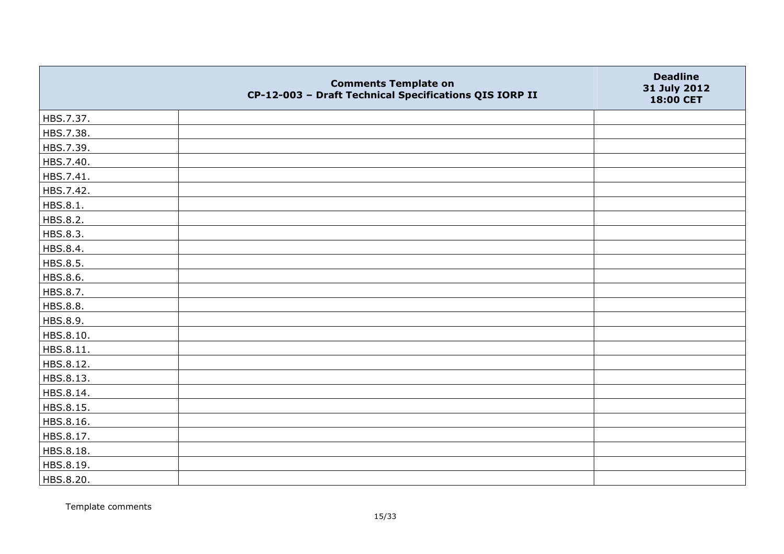|           | <b>Comments Template on</b><br>CP-12-003 - Draft Technical Specifications QIS IORP II | <b>Deadline</b><br>31 July 2012<br>18:00 CET |
|-----------|---------------------------------------------------------------------------------------|----------------------------------------------|
| HBS.7.37. |                                                                                       |                                              |
| HBS.7.38. |                                                                                       |                                              |
| HBS.7.39. |                                                                                       |                                              |
| HBS.7.40. |                                                                                       |                                              |
| HBS.7.41. |                                                                                       |                                              |
| HBS.7.42. |                                                                                       |                                              |
| HBS.8.1.  |                                                                                       |                                              |
| HBS.8.2.  |                                                                                       |                                              |
| HBS.8.3.  |                                                                                       |                                              |
| HBS.8.4.  |                                                                                       |                                              |
| HBS.8.5.  |                                                                                       |                                              |
| HBS.8.6.  |                                                                                       |                                              |
| HBS.8.7.  |                                                                                       |                                              |
| HBS.8.8.  |                                                                                       |                                              |
| HBS.8.9.  |                                                                                       |                                              |
| HBS.8.10. |                                                                                       |                                              |
| HBS.8.11. |                                                                                       |                                              |
| HBS.8.12. |                                                                                       |                                              |
| HBS.8.13. |                                                                                       |                                              |
| HBS.8.14. |                                                                                       |                                              |
| HBS.8.15. |                                                                                       |                                              |
| HBS.8.16. |                                                                                       |                                              |
| HBS.8.17. |                                                                                       |                                              |
| HBS.8.18. |                                                                                       |                                              |
| HBS.8.19. |                                                                                       |                                              |
| HBS.8.20. |                                                                                       |                                              |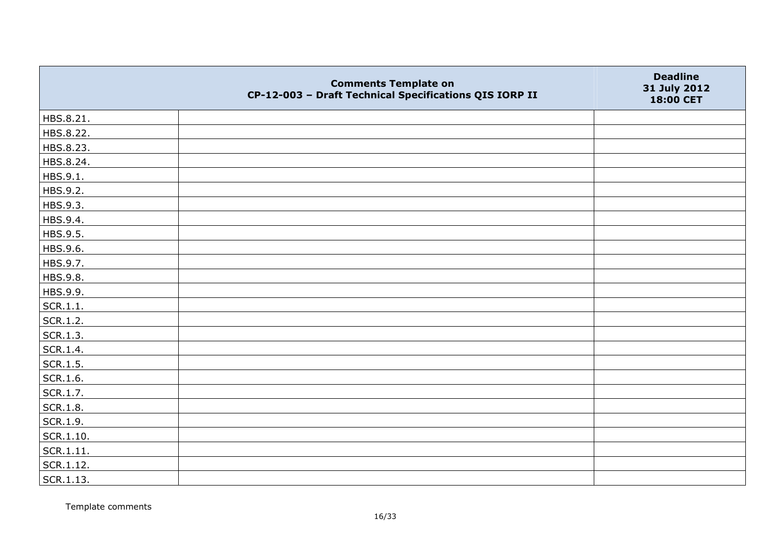|           | <b>Comments Template on</b><br>CP-12-003 - Draft Technical Specifications QIS IORP II | <b>Deadline</b><br>31 July 2012<br>18:00 CET |
|-----------|---------------------------------------------------------------------------------------|----------------------------------------------|
| HBS.8.21. |                                                                                       |                                              |
| HBS.8.22. |                                                                                       |                                              |
| HBS.8.23. |                                                                                       |                                              |
| HBS.8.24. |                                                                                       |                                              |
| HBS.9.1.  |                                                                                       |                                              |
| HBS.9.2.  |                                                                                       |                                              |
| HBS.9.3.  |                                                                                       |                                              |
| HBS.9.4.  |                                                                                       |                                              |
| HBS.9.5.  |                                                                                       |                                              |
| HBS.9.6.  |                                                                                       |                                              |
| HBS.9.7.  |                                                                                       |                                              |
| HBS.9.8.  |                                                                                       |                                              |
| HBS.9.9.  |                                                                                       |                                              |
| SCR.1.1.  |                                                                                       |                                              |
| SCR.1.2.  |                                                                                       |                                              |
| SCR.1.3.  |                                                                                       |                                              |
| SCR.1.4.  |                                                                                       |                                              |
| SCR.1.5.  |                                                                                       |                                              |
| SCR.1.6.  |                                                                                       |                                              |
| SCR.1.7.  |                                                                                       |                                              |
| SCR.1.8.  |                                                                                       |                                              |
| SCR.1.9.  |                                                                                       |                                              |
| SCR.1.10. |                                                                                       |                                              |
| SCR.1.11. |                                                                                       |                                              |
| SCR.1.12. |                                                                                       |                                              |
| SCR.1.13. |                                                                                       |                                              |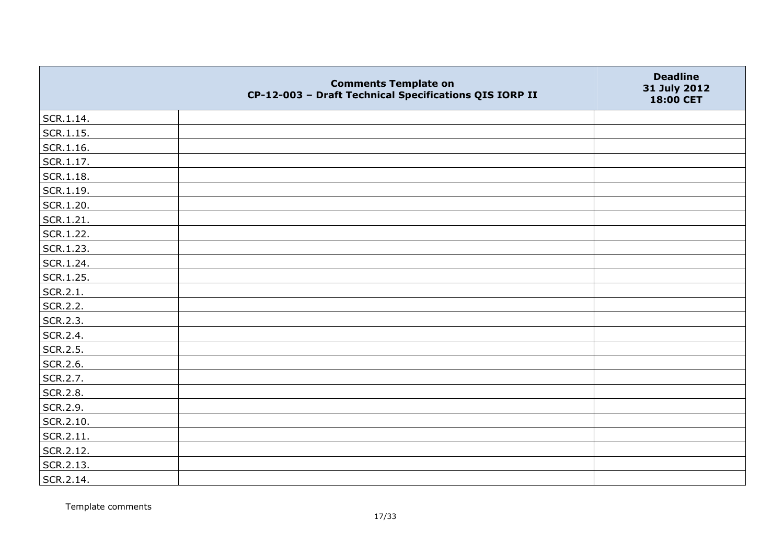|           | <b>Comments Template on</b><br>CP-12-003 - Draft Technical Specifications QIS IORP II | <b>Deadline</b><br>31 July 2012<br>18:00 CET |
|-----------|---------------------------------------------------------------------------------------|----------------------------------------------|
| SCR.1.14. |                                                                                       |                                              |
| SCR.1.15. |                                                                                       |                                              |
| SCR.1.16. |                                                                                       |                                              |
| SCR.1.17. |                                                                                       |                                              |
| SCR.1.18. |                                                                                       |                                              |
| SCR.1.19. |                                                                                       |                                              |
| SCR.1.20. |                                                                                       |                                              |
| SCR.1.21. |                                                                                       |                                              |
| SCR.1.22. |                                                                                       |                                              |
| SCR.1.23. |                                                                                       |                                              |
| SCR.1.24. |                                                                                       |                                              |
| SCR.1.25. |                                                                                       |                                              |
| SCR.2.1.  |                                                                                       |                                              |
| SCR.2.2.  |                                                                                       |                                              |
| SCR.2.3.  |                                                                                       |                                              |
| SCR.2.4.  |                                                                                       |                                              |
| SCR.2.5.  |                                                                                       |                                              |
| SCR.2.6.  |                                                                                       |                                              |
| SCR.2.7.  |                                                                                       |                                              |
| SCR.2.8.  |                                                                                       |                                              |
| SCR.2.9.  |                                                                                       |                                              |
| SCR.2.10. |                                                                                       |                                              |
| SCR.2.11. |                                                                                       |                                              |
| SCR.2.12. |                                                                                       |                                              |
| SCR.2.13. |                                                                                       |                                              |
| SCR.2.14. |                                                                                       |                                              |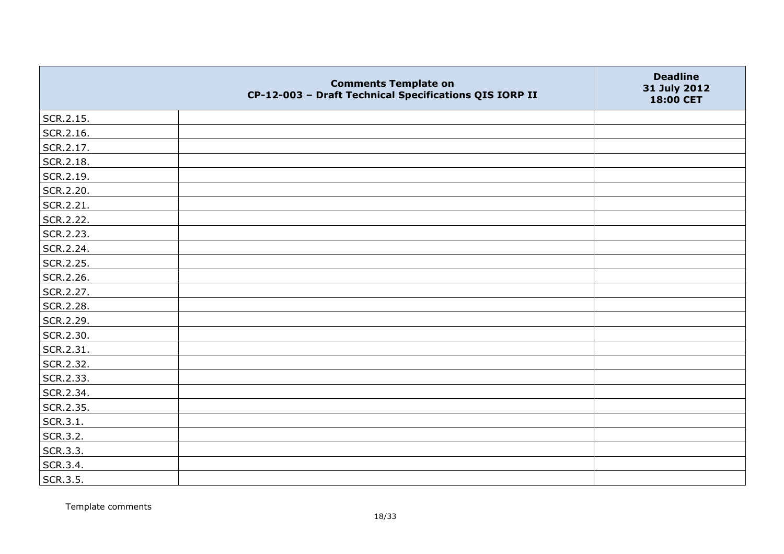|           | <b>Comments Template on</b><br>CP-12-003 - Draft Technical Specifications QIS IORP II | <b>Deadline</b><br>31 July 2012<br>18:00 CET |
|-----------|---------------------------------------------------------------------------------------|----------------------------------------------|
| SCR.2.15. |                                                                                       |                                              |
| SCR.2.16. |                                                                                       |                                              |
| SCR.2.17. |                                                                                       |                                              |
| SCR.2.18. |                                                                                       |                                              |
| SCR.2.19. |                                                                                       |                                              |
| SCR.2.20. |                                                                                       |                                              |
| SCR.2.21. |                                                                                       |                                              |
| SCR.2.22. |                                                                                       |                                              |
| SCR.2.23. |                                                                                       |                                              |
| SCR.2.24. |                                                                                       |                                              |
| SCR.2.25. |                                                                                       |                                              |
| SCR.2.26. |                                                                                       |                                              |
| SCR.2.27. |                                                                                       |                                              |
| SCR.2.28. |                                                                                       |                                              |
| SCR.2.29. |                                                                                       |                                              |
| SCR.2.30. |                                                                                       |                                              |
| SCR.2.31. |                                                                                       |                                              |
| SCR.2.32. |                                                                                       |                                              |
| SCR.2.33. |                                                                                       |                                              |
| SCR.2.34. |                                                                                       |                                              |
| SCR.2.35. |                                                                                       |                                              |
| SCR.3.1.  |                                                                                       |                                              |
| SCR.3.2.  |                                                                                       |                                              |
| SCR.3.3.  |                                                                                       |                                              |
| SCR.3.4.  |                                                                                       |                                              |
| SCR.3.5.  |                                                                                       |                                              |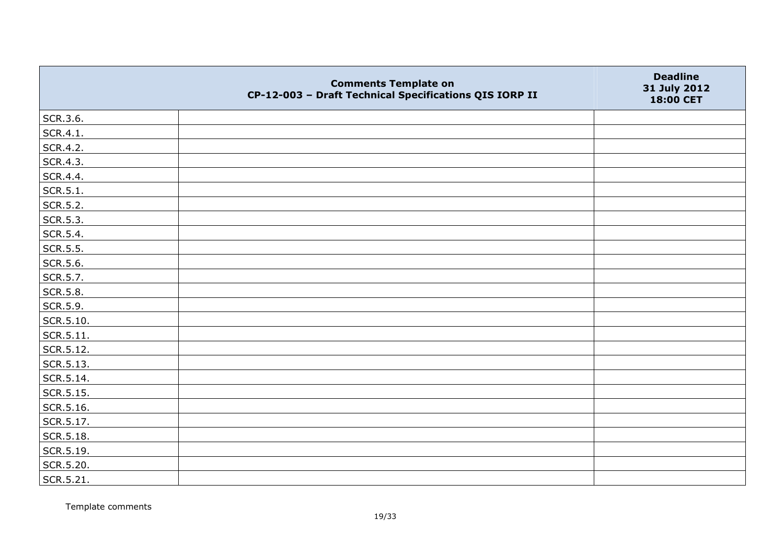|                   | <b>Comments Template on</b><br>CP-12-003 - Draft Technical Specifications QIS IORP II | <b>Deadline</b><br>31 July 2012<br>18:00 CET |
|-------------------|---------------------------------------------------------------------------------------|----------------------------------------------|
| SCR.3.6.          |                                                                                       |                                              |
| SCR.4.1.          |                                                                                       |                                              |
| SCR.4.2.          |                                                                                       |                                              |
| SCR.4.3.          |                                                                                       |                                              |
| SCR.4.4.          |                                                                                       |                                              |
| SCR.5.1.          |                                                                                       |                                              |
| SCR.5.2.          |                                                                                       |                                              |
| SCR.5.3.          |                                                                                       |                                              |
| SCR.5.4.          |                                                                                       |                                              |
| SCR.5.5.          |                                                                                       |                                              |
| SCR.5.6.          |                                                                                       |                                              |
| SCR.5.7.          |                                                                                       |                                              |
| <b>SCR.5.8.</b>   |                                                                                       |                                              |
| SCR.5.9.          |                                                                                       |                                              |
| $\vert$ SCR.5.10. |                                                                                       |                                              |
| $\vert$ SCR.5.11. |                                                                                       |                                              |
| SCR.5.12.         |                                                                                       |                                              |
| SCR.5.13.         |                                                                                       |                                              |
| SCR.5.14.         |                                                                                       |                                              |
| SCR.5.15.         |                                                                                       |                                              |
| SCR.5.16.         |                                                                                       |                                              |
| SCR.5.17.         |                                                                                       |                                              |
| SCR.5.18.         |                                                                                       |                                              |
| SCR.5.19.         |                                                                                       |                                              |
| SCR.5.20.         |                                                                                       |                                              |
| SCR.5.21.         |                                                                                       |                                              |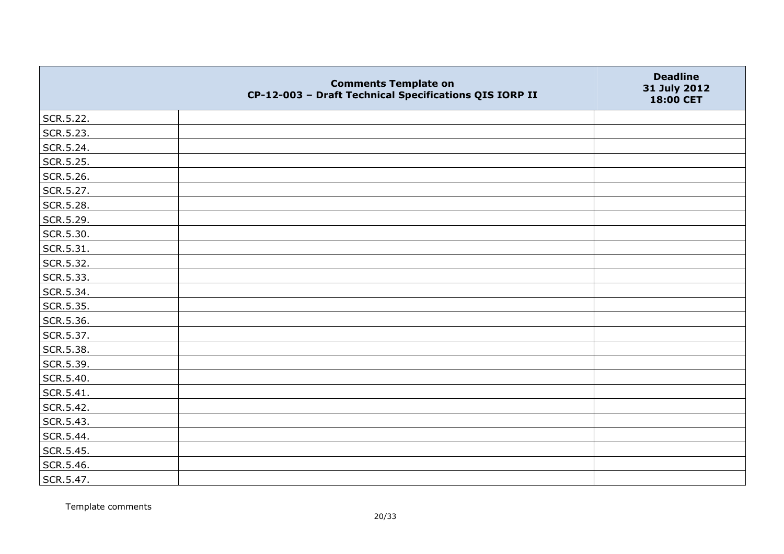|           | <b>Comments Template on</b><br>CP-12-003 - Draft Technical Specifications QIS IORP II | <b>Deadline</b><br>31 July 2012<br>18:00 CET |
|-----------|---------------------------------------------------------------------------------------|----------------------------------------------|
| SCR.5.22. |                                                                                       |                                              |
| SCR.5.23. |                                                                                       |                                              |
| SCR.5.24. |                                                                                       |                                              |
| SCR.5.25. |                                                                                       |                                              |
| SCR.5.26. |                                                                                       |                                              |
| SCR.5.27. |                                                                                       |                                              |
| SCR.5.28. |                                                                                       |                                              |
| SCR.5.29. |                                                                                       |                                              |
| SCR.5.30. |                                                                                       |                                              |
| SCR.5.31. |                                                                                       |                                              |
| SCR.5.32. |                                                                                       |                                              |
| SCR.5.33. |                                                                                       |                                              |
| SCR.5.34. |                                                                                       |                                              |
| SCR.5.35. |                                                                                       |                                              |
| SCR.5.36. |                                                                                       |                                              |
| SCR.5.37. |                                                                                       |                                              |
| SCR.5.38. |                                                                                       |                                              |
| SCR.5.39. |                                                                                       |                                              |
| SCR.5.40. |                                                                                       |                                              |
| SCR.5.41. |                                                                                       |                                              |
| SCR.5.42. |                                                                                       |                                              |
| SCR.5.43. |                                                                                       |                                              |
| SCR.5.44. |                                                                                       |                                              |
| SCR.5.45. |                                                                                       |                                              |
| SCR.5.46. |                                                                                       |                                              |
| SCR.5.47. |                                                                                       |                                              |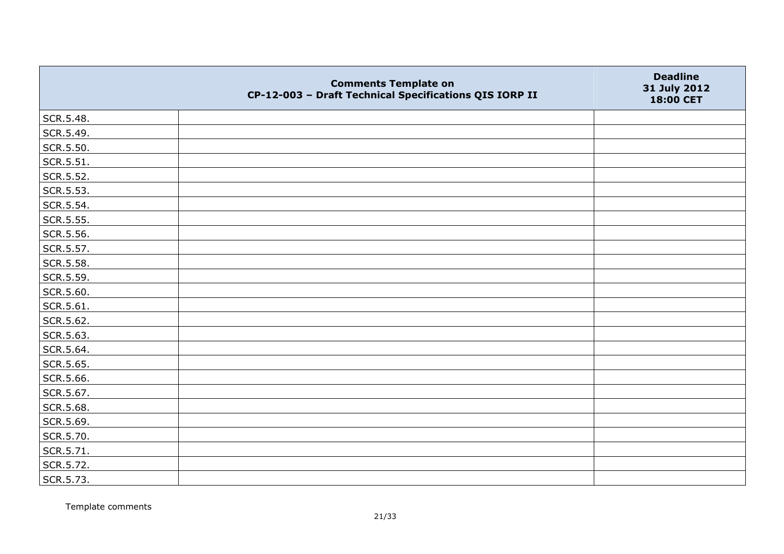|           | <b>Comments Template on</b><br>CP-12-003 - Draft Technical Specifications QIS IORP II | <b>Deadline</b><br>31 July 2012<br>18:00 CET |
|-----------|---------------------------------------------------------------------------------------|----------------------------------------------|
| SCR.5.48. |                                                                                       |                                              |
| SCR.5.49. |                                                                                       |                                              |
| SCR.5.50. |                                                                                       |                                              |
| SCR.5.51. |                                                                                       |                                              |
| SCR.5.52. |                                                                                       |                                              |
| SCR.5.53. |                                                                                       |                                              |
| SCR.5.54. |                                                                                       |                                              |
| SCR.5.55. |                                                                                       |                                              |
| SCR.5.56. |                                                                                       |                                              |
| SCR.5.57. |                                                                                       |                                              |
| SCR.5.58. |                                                                                       |                                              |
| SCR.5.59. |                                                                                       |                                              |
| SCR.5.60. |                                                                                       |                                              |
| SCR.5.61. |                                                                                       |                                              |
| SCR.5.62. |                                                                                       |                                              |
| SCR.5.63. |                                                                                       |                                              |
| SCR.5.64. |                                                                                       |                                              |
| SCR.5.65. |                                                                                       |                                              |
| SCR.5.66. |                                                                                       |                                              |
| SCR.5.67. |                                                                                       |                                              |
| SCR.5.68. |                                                                                       |                                              |
| SCR.5.69. |                                                                                       |                                              |
| SCR.5.70. |                                                                                       |                                              |
| SCR.5.71. |                                                                                       |                                              |
| SCR.5.72. |                                                                                       |                                              |
| SCR.5.73. |                                                                                       |                                              |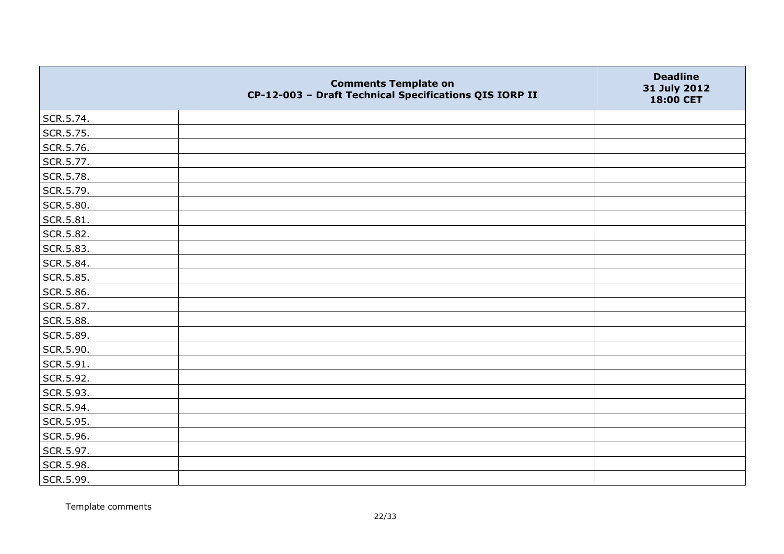|           | <b>Comments Template on</b><br>CP-12-003 - Draft Technical Specifications QIS IORP II | <b>Deadline</b><br>31 July 2012<br>18:00 CET |
|-----------|---------------------------------------------------------------------------------------|----------------------------------------------|
| SCR.5.74. |                                                                                       |                                              |
| SCR.5.75. |                                                                                       |                                              |
| SCR.5.76. |                                                                                       |                                              |
| SCR.5.77. |                                                                                       |                                              |
| SCR.5.78. |                                                                                       |                                              |
| SCR.5.79. |                                                                                       |                                              |
| SCR.5.80. |                                                                                       |                                              |
| SCR.5.81. |                                                                                       |                                              |
| SCR.5.82. |                                                                                       |                                              |
| SCR.5.83. |                                                                                       |                                              |
| SCR.5.84. |                                                                                       |                                              |
| SCR.5.85. |                                                                                       |                                              |
| SCR.5.86. |                                                                                       |                                              |
| SCR.5.87. |                                                                                       |                                              |
| SCR.5.88. |                                                                                       |                                              |
| SCR.5.89. |                                                                                       |                                              |
| SCR.5.90. |                                                                                       |                                              |
| SCR.5.91. |                                                                                       |                                              |
| SCR.5.92. |                                                                                       |                                              |
| SCR.5.93. |                                                                                       |                                              |
| SCR.5.94. |                                                                                       |                                              |
| SCR.5.95. |                                                                                       |                                              |
| SCR.5.96. |                                                                                       |                                              |
| SCR.5.97. |                                                                                       |                                              |
| SCR.5.98. |                                                                                       |                                              |
| SCR.5.99. |                                                                                       |                                              |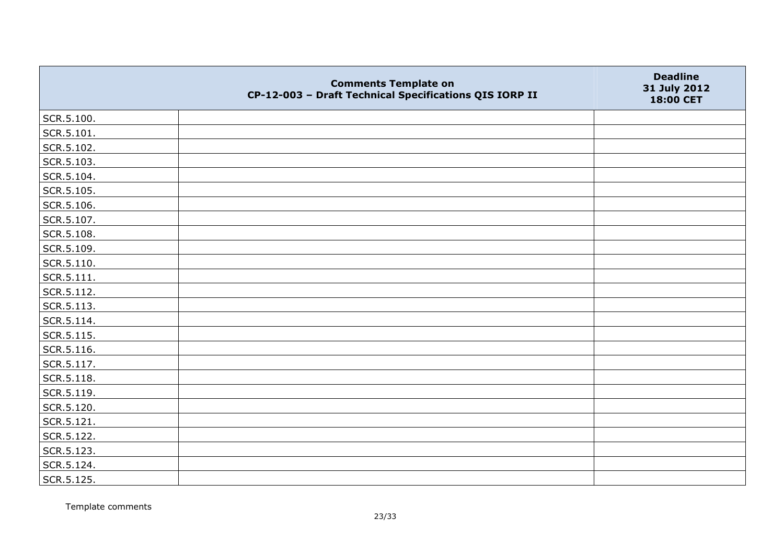|                    | <b>Comments Template on</b><br>CP-12-003 - Draft Technical Specifications QIS IORP II | <b>Deadline</b><br>31 July 2012<br>18:00 CET |
|--------------------|---------------------------------------------------------------------------------------|----------------------------------------------|
| SCR.5.100.         |                                                                                       |                                              |
| SCR.5.101.         |                                                                                       |                                              |
| SCR.5.102.         |                                                                                       |                                              |
| SCR.5.103.         |                                                                                       |                                              |
| SCR.5.104.         |                                                                                       |                                              |
| SCR.5.105.         |                                                                                       |                                              |
| SCR.5.106.         |                                                                                       |                                              |
| SCR.5.107.         |                                                                                       |                                              |
| SCR.5.108.         |                                                                                       |                                              |
| SCR.5.109.         |                                                                                       |                                              |
| SCR.5.110.         |                                                                                       |                                              |
| $\vert$ SCR.5.111. |                                                                                       |                                              |
| SCR.5.112.         |                                                                                       |                                              |
| SCR.5.113.         |                                                                                       |                                              |
| SCR.5.114.         |                                                                                       |                                              |
| SCR.5.115.         |                                                                                       |                                              |
| SCR.5.116.         |                                                                                       |                                              |
| SCR.5.117.         |                                                                                       |                                              |
| SCR.5.118.         |                                                                                       |                                              |
| SCR.5.119.         |                                                                                       |                                              |
| SCR.5.120.         |                                                                                       |                                              |
| SCR.5.121.         |                                                                                       |                                              |
| SCR.5.122.         |                                                                                       |                                              |
| SCR.5.123.         |                                                                                       |                                              |
| SCR.5.124.         |                                                                                       |                                              |
| SCR.5.125.         |                                                                                       |                                              |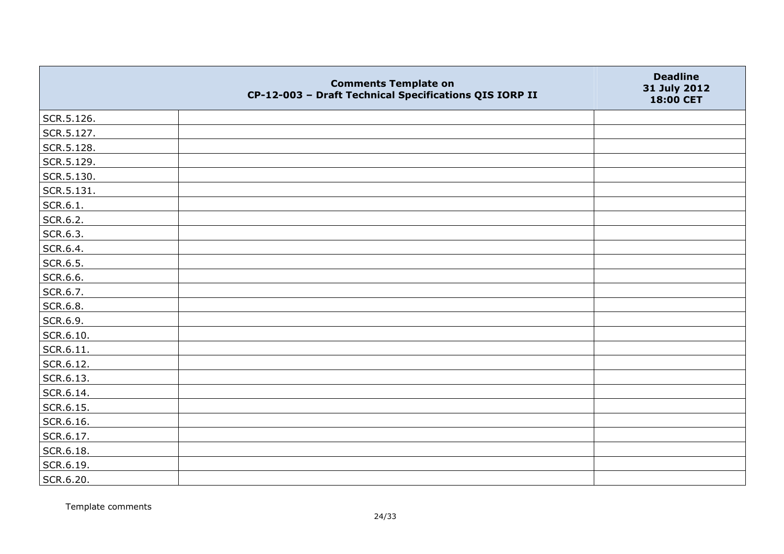|            | <b>Comments Template on</b><br>CP-12-003 - Draft Technical Specifications QIS IORP II | <b>Deadline</b><br>31 July 2012<br>18:00 CET |
|------------|---------------------------------------------------------------------------------------|----------------------------------------------|
| SCR.5.126. |                                                                                       |                                              |
| SCR.5.127. |                                                                                       |                                              |
| SCR.5.128. |                                                                                       |                                              |
| SCR.5.129. |                                                                                       |                                              |
| SCR.5.130. |                                                                                       |                                              |
| SCR.5.131. |                                                                                       |                                              |
| SCR.6.1.   |                                                                                       |                                              |
| SCR.6.2.   |                                                                                       |                                              |
| SCR.6.3.   |                                                                                       |                                              |
| SCR.6.4.   |                                                                                       |                                              |
| SCR.6.5.   |                                                                                       |                                              |
| SCR.6.6.   |                                                                                       |                                              |
| SCR.6.7.   |                                                                                       |                                              |
| SCR.6.8.   |                                                                                       |                                              |
| SCR.6.9.   |                                                                                       |                                              |
| SCR.6.10.  |                                                                                       |                                              |
| SCR.6.11.  |                                                                                       |                                              |
| SCR.6.12.  |                                                                                       |                                              |
| SCR.6.13.  |                                                                                       |                                              |
| SCR.6.14.  |                                                                                       |                                              |
| SCR.6.15.  |                                                                                       |                                              |
| SCR.6.16.  |                                                                                       |                                              |
| SCR.6.17.  |                                                                                       |                                              |
| SCR.6.18.  |                                                                                       |                                              |
| SCR.6.19.  |                                                                                       |                                              |
| SCR.6.20.  |                                                                                       |                                              |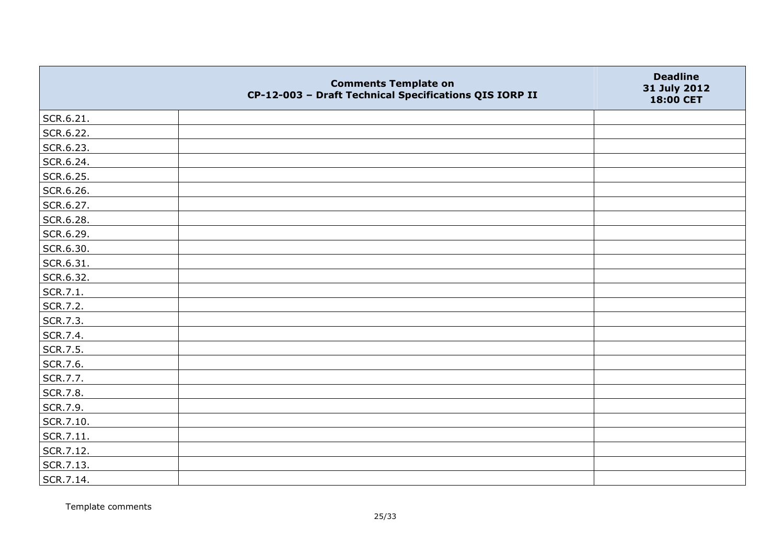|           | <b>Comments Template on</b><br>CP-12-003 - Draft Technical Specifications QIS IORP II | <b>Deadline</b><br>31 July 2012<br>18:00 CET |
|-----------|---------------------------------------------------------------------------------------|----------------------------------------------|
| SCR.6.21. |                                                                                       |                                              |
| SCR.6.22. |                                                                                       |                                              |
| SCR.6.23. |                                                                                       |                                              |
| SCR.6.24. |                                                                                       |                                              |
| SCR.6.25. |                                                                                       |                                              |
| SCR.6.26. |                                                                                       |                                              |
| SCR.6.27. |                                                                                       |                                              |
| SCR.6.28. |                                                                                       |                                              |
| SCR.6.29. |                                                                                       |                                              |
| SCR.6.30. |                                                                                       |                                              |
| SCR.6.31. |                                                                                       |                                              |
| SCR.6.32. |                                                                                       |                                              |
| SCR.7.1.  |                                                                                       |                                              |
| SCR.7.2.  |                                                                                       |                                              |
| SCR.7.3.  |                                                                                       |                                              |
| SCR.7.4.  |                                                                                       |                                              |
| SCR.7.5.  |                                                                                       |                                              |
| SCR.7.6.  |                                                                                       |                                              |
| SCR.7.7.  |                                                                                       |                                              |
| SCR.7.8.  |                                                                                       |                                              |
| SCR.7.9.  |                                                                                       |                                              |
| SCR.7.10. |                                                                                       |                                              |
| SCR.7.11. |                                                                                       |                                              |
| SCR.7.12. |                                                                                       |                                              |
| SCR.7.13. |                                                                                       |                                              |
| SCR.7.14. |                                                                                       |                                              |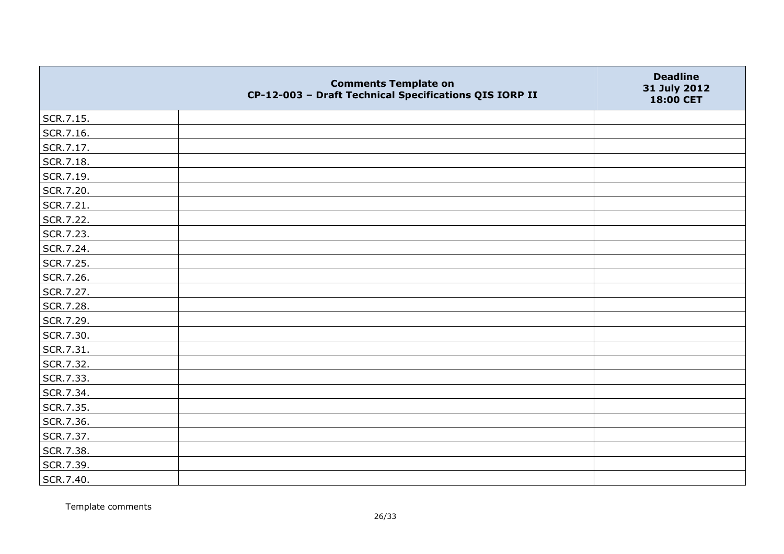|           | <b>Comments Template on</b><br>CP-12-003 - Draft Technical Specifications QIS IORP II | <b>Deadline</b><br>31 July 2012<br>18:00 CET |
|-----------|---------------------------------------------------------------------------------------|----------------------------------------------|
| SCR.7.15. |                                                                                       |                                              |
| SCR.7.16. |                                                                                       |                                              |
| SCR.7.17. |                                                                                       |                                              |
| SCR.7.18. |                                                                                       |                                              |
| SCR.7.19. |                                                                                       |                                              |
| SCR.7.20. |                                                                                       |                                              |
| SCR.7.21. |                                                                                       |                                              |
| SCR.7.22. |                                                                                       |                                              |
| SCR.7.23. |                                                                                       |                                              |
| SCR.7.24. |                                                                                       |                                              |
| SCR.7.25. |                                                                                       |                                              |
| SCR.7.26. |                                                                                       |                                              |
| SCR.7.27. |                                                                                       |                                              |
| SCR.7.28. |                                                                                       |                                              |
| SCR.7.29. |                                                                                       |                                              |
| SCR.7.30. |                                                                                       |                                              |
| SCR.7.31. |                                                                                       |                                              |
| SCR.7.32. |                                                                                       |                                              |
| SCR.7.33. |                                                                                       |                                              |
| SCR.7.34. |                                                                                       |                                              |
| SCR.7.35. |                                                                                       |                                              |
| SCR.7.36. |                                                                                       |                                              |
| SCR.7.37. |                                                                                       |                                              |
| SCR.7.38. |                                                                                       |                                              |
| SCR.7.39. |                                                                                       |                                              |
| SCR.7.40. |                                                                                       |                                              |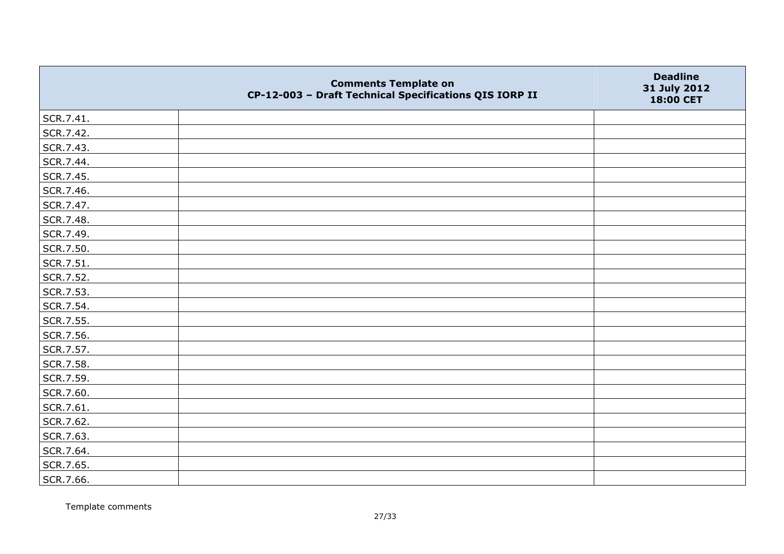|           | <b>Comments Template on</b><br>CP-12-003 - Draft Technical Specifications QIS IORP II | <b>Deadline</b><br>31 July 2012<br>18:00 CET |
|-----------|---------------------------------------------------------------------------------------|----------------------------------------------|
| SCR.7.41. |                                                                                       |                                              |
| SCR.7.42. |                                                                                       |                                              |
| SCR.7.43. |                                                                                       |                                              |
| SCR.7.44. |                                                                                       |                                              |
| SCR.7.45. |                                                                                       |                                              |
| SCR.7.46. |                                                                                       |                                              |
| SCR.7.47. |                                                                                       |                                              |
| SCR.7.48. |                                                                                       |                                              |
| SCR.7.49. |                                                                                       |                                              |
| SCR.7.50. |                                                                                       |                                              |
| SCR.7.51. |                                                                                       |                                              |
| SCR.7.52. |                                                                                       |                                              |
| SCR.7.53. |                                                                                       |                                              |
| SCR.7.54. |                                                                                       |                                              |
| SCR.7.55. |                                                                                       |                                              |
| SCR.7.56. |                                                                                       |                                              |
| SCR.7.57. |                                                                                       |                                              |
| SCR.7.58. |                                                                                       |                                              |
| SCR.7.59. |                                                                                       |                                              |
| SCR.7.60. |                                                                                       |                                              |
| SCR.7.61. |                                                                                       |                                              |
| SCR.7.62. |                                                                                       |                                              |
| SCR.7.63. |                                                                                       |                                              |
| SCR.7.64. |                                                                                       |                                              |
| SCR.7.65. |                                                                                       |                                              |
| SCR.7.66. |                                                                                       |                                              |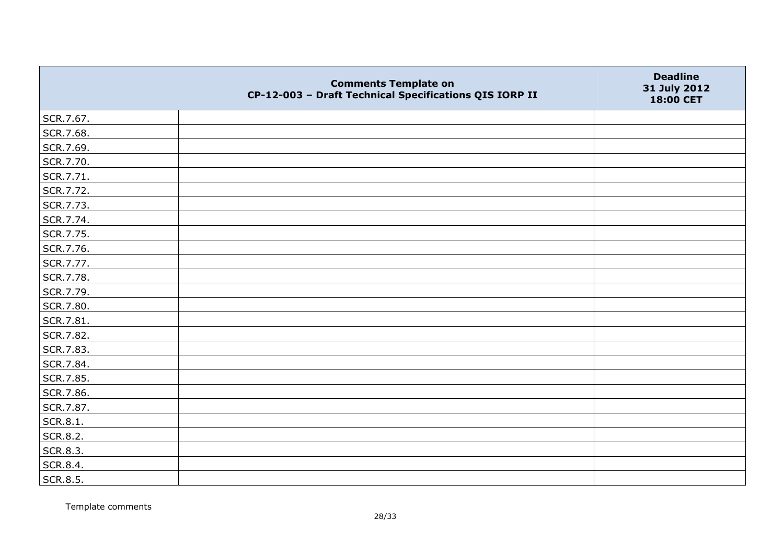|           | <b>Comments Template on</b><br>CP-12-003 - Draft Technical Specifications QIS IORP II | <b>Deadline</b><br>31 July 2012<br>18:00 CET |
|-----------|---------------------------------------------------------------------------------------|----------------------------------------------|
| SCR.7.67. |                                                                                       |                                              |
| SCR.7.68. |                                                                                       |                                              |
| SCR.7.69. |                                                                                       |                                              |
| SCR.7.70. |                                                                                       |                                              |
| SCR.7.71. |                                                                                       |                                              |
| SCR.7.72. |                                                                                       |                                              |
| SCR.7.73. |                                                                                       |                                              |
| SCR.7.74. |                                                                                       |                                              |
| SCR.7.75. |                                                                                       |                                              |
| SCR.7.76. |                                                                                       |                                              |
| SCR.7.77. |                                                                                       |                                              |
| SCR.7.78. |                                                                                       |                                              |
| SCR.7.79. |                                                                                       |                                              |
| SCR.7.80. |                                                                                       |                                              |
| SCR.7.81. |                                                                                       |                                              |
| SCR.7.82. |                                                                                       |                                              |
| SCR.7.83. |                                                                                       |                                              |
| SCR.7.84. |                                                                                       |                                              |
| SCR.7.85. |                                                                                       |                                              |
| SCR.7.86. |                                                                                       |                                              |
| SCR.7.87. |                                                                                       |                                              |
| SCR.8.1.  |                                                                                       |                                              |
| SCR.8.2.  |                                                                                       |                                              |
| SCR.8.3.  |                                                                                       |                                              |
| SCR.8.4.  |                                                                                       |                                              |
| SCR.8.5.  |                                                                                       |                                              |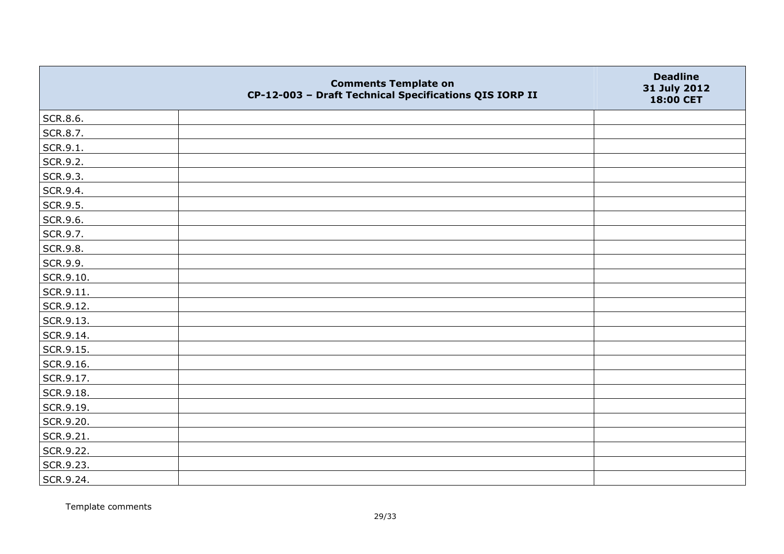|           | <b>Comments Template on</b><br>CP-12-003 - Draft Technical Specifications QIS IORP II | <b>Deadline</b><br>31 July 2012<br>18:00 CET |
|-----------|---------------------------------------------------------------------------------------|----------------------------------------------|
| SCR.8.6.  |                                                                                       |                                              |
| SCR.8.7.  |                                                                                       |                                              |
| SCR.9.1.  |                                                                                       |                                              |
| SCR.9.2.  |                                                                                       |                                              |
| SCR.9.3.  |                                                                                       |                                              |
| SCR.9.4.  |                                                                                       |                                              |
| SCR.9.5.  |                                                                                       |                                              |
| SCR.9.6.  |                                                                                       |                                              |
| SCR.9.7.  |                                                                                       |                                              |
| SCR.9.8.  |                                                                                       |                                              |
| SCR.9.9.  |                                                                                       |                                              |
| SCR.9.10. |                                                                                       |                                              |
| SCR.9.11. |                                                                                       |                                              |
| SCR.9.12. |                                                                                       |                                              |
| SCR.9.13. |                                                                                       |                                              |
| SCR.9.14. |                                                                                       |                                              |
| SCR.9.15. |                                                                                       |                                              |
| SCR.9.16. |                                                                                       |                                              |
| SCR.9.17. |                                                                                       |                                              |
| SCR.9.18. |                                                                                       |                                              |
| SCR.9.19. |                                                                                       |                                              |
| SCR.9.20. |                                                                                       |                                              |
| SCR.9.21. |                                                                                       |                                              |
| SCR.9.22. |                                                                                       |                                              |
| SCR.9.23. |                                                                                       |                                              |
| SCR.9.24. |                                                                                       |                                              |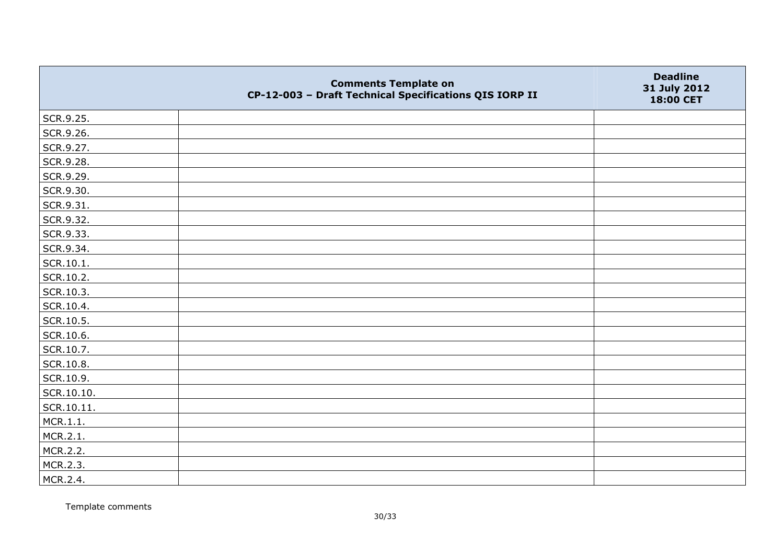|               | <b>Comments Template on</b><br>CP-12-003 - Draft Technical Specifications QIS IORP II | <b>Deadline</b><br>31 July 2012<br>18:00 CET |
|---------------|---------------------------------------------------------------------------------------|----------------------------------------------|
| SCR.9.25.     |                                                                                       |                                              |
| SCR.9.26.     |                                                                                       |                                              |
| SCR.9.27.     |                                                                                       |                                              |
| SCR.9.28.     |                                                                                       |                                              |
| SCR.9.29.     |                                                                                       |                                              |
| SCR.9.30.     |                                                                                       |                                              |
| SCR.9.31.     |                                                                                       |                                              |
| SCR.9.32.     |                                                                                       |                                              |
| SCR.9.33.     |                                                                                       |                                              |
| SCR.9.34.     |                                                                                       |                                              |
| $ $ SCR.10.1. |                                                                                       |                                              |
| SCR.10.2.     |                                                                                       |                                              |
| SCR.10.3.     |                                                                                       |                                              |
| SCR.10.4.     |                                                                                       |                                              |
| SCR.10.5.     |                                                                                       |                                              |
| SCR.10.6.     |                                                                                       |                                              |
| SCR.10.7.     |                                                                                       |                                              |
| SCR.10.8.     |                                                                                       |                                              |
| SCR.10.9.     |                                                                                       |                                              |
| SCR.10.10.    |                                                                                       |                                              |
| SCR.10.11.    |                                                                                       |                                              |
| MCR.1.1.      |                                                                                       |                                              |
| MCR.2.1.      |                                                                                       |                                              |
| MCR.2.2.      |                                                                                       |                                              |
| MCR.2.3.      |                                                                                       |                                              |
| MCR.2.4.      |                                                                                       |                                              |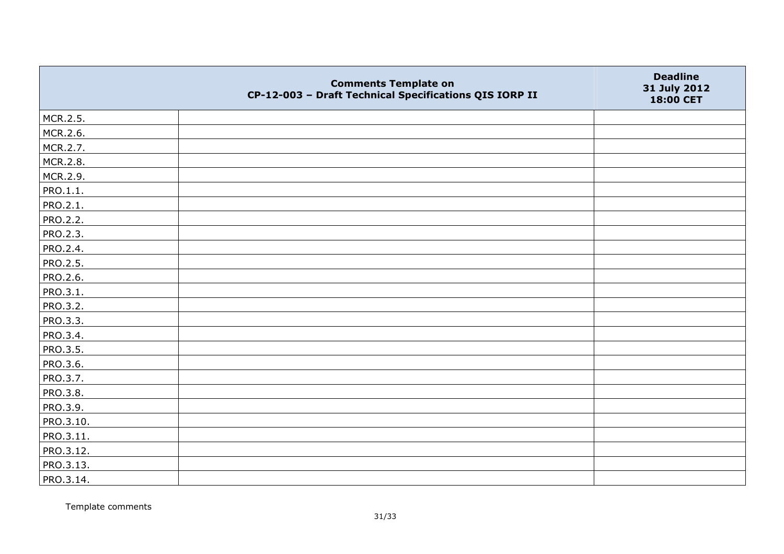|                 | <b>Comments Template on</b><br>CP-12-003 - Draft Technical Specifications QIS IORP II | <b>Deadline</b><br>31 July 2012<br>18:00 CET |
|-----------------|---------------------------------------------------------------------------------------|----------------------------------------------|
| MCR.2.5.        |                                                                                       |                                              |
| MCR.2.6.        |                                                                                       |                                              |
| MCR.2.7.        |                                                                                       |                                              |
| MCR.2.8.        |                                                                                       |                                              |
| MCR.2.9.        |                                                                                       |                                              |
| PRO.1.1.        |                                                                                       |                                              |
| PRO.2.1.        |                                                                                       |                                              |
| <b>PRO.2.2.</b> |                                                                                       |                                              |
| PRO.2.3.        |                                                                                       |                                              |
| PRO.2.4.        |                                                                                       |                                              |
| PRO.2.5.        |                                                                                       |                                              |
| <b>PRO.2.6.</b> |                                                                                       |                                              |
| PRO.3.1.        |                                                                                       |                                              |
| PRO.3.2.        |                                                                                       |                                              |
| PRO.3.3.        |                                                                                       |                                              |
| PRO.3.4.        |                                                                                       |                                              |
| PRO.3.5.        |                                                                                       |                                              |
| PRO.3.6.        |                                                                                       |                                              |
| PRO.3.7.        |                                                                                       |                                              |
| <b>PRO.3.8.</b> |                                                                                       |                                              |
| PRO.3.9.        |                                                                                       |                                              |
| PRO.3.10.       |                                                                                       |                                              |
| PRO.3.11.       |                                                                                       |                                              |
| PRO.3.12.       |                                                                                       |                                              |
| PRO.3.13.       |                                                                                       |                                              |
| PRO.3.14.       |                                                                                       |                                              |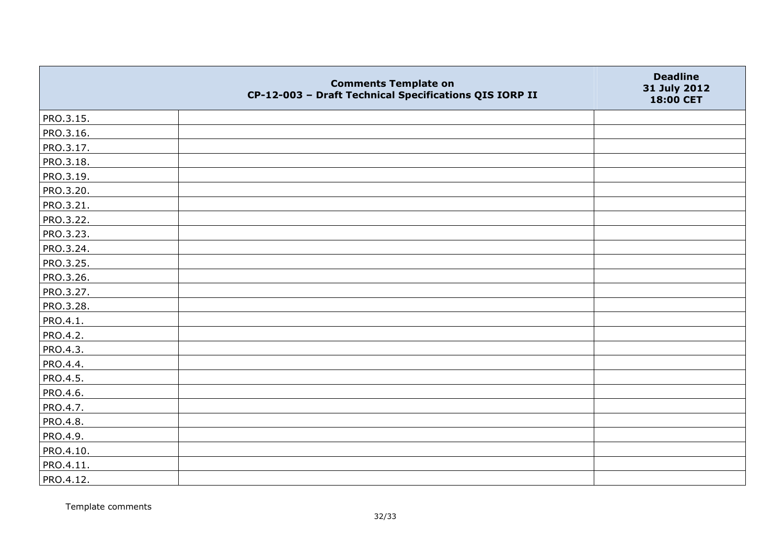|                 | <b>Comments Template on</b><br>CP-12-003 - Draft Technical Specifications QIS IORP II | <b>Deadline</b><br>31 July 2012<br>18:00 CET |
|-----------------|---------------------------------------------------------------------------------------|----------------------------------------------|
| PRO.3.15.       |                                                                                       |                                              |
| PRO.3.16.       |                                                                                       |                                              |
| PRO.3.17.       |                                                                                       |                                              |
| PRO.3.18.       |                                                                                       |                                              |
| PRO.3.19.       |                                                                                       |                                              |
| PRO.3.20.       |                                                                                       |                                              |
| PRO.3.21.       |                                                                                       |                                              |
| PRO.3.22.       |                                                                                       |                                              |
| PRO.3.23.       |                                                                                       |                                              |
| PRO.3.24.       |                                                                                       |                                              |
| PRO.3.25.       |                                                                                       |                                              |
| PRO.3.26.       |                                                                                       |                                              |
| PRO.3.27.       |                                                                                       |                                              |
| PRO.3.28.       |                                                                                       |                                              |
| PRO.4.1.        |                                                                                       |                                              |
| PRO.4.2.        |                                                                                       |                                              |
| PRO.4.3.        |                                                                                       |                                              |
| PRO.4.4.        |                                                                                       |                                              |
| PRO.4.5.        |                                                                                       |                                              |
| PRO.4.6.        |                                                                                       |                                              |
| PRO.4.7.        |                                                                                       |                                              |
| <b>PRO.4.8.</b> |                                                                                       |                                              |
| PRO.4.9.        |                                                                                       |                                              |
| PRO.4.10.       |                                                                                       |                                              |
| PRO.4.11.       |                                                                                       |                                              |
| PRO.4.12.       |                                                                                       |                                              |